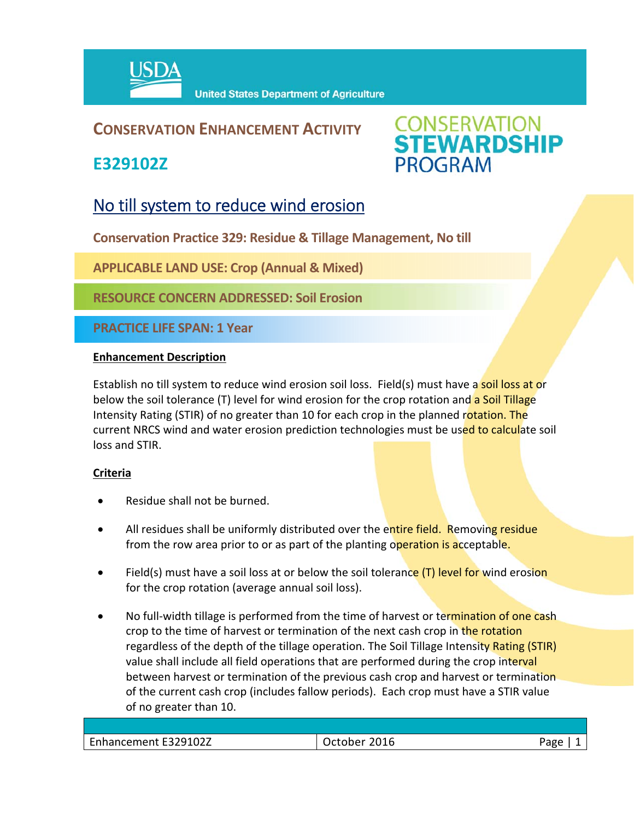

## **CONSERVATION ENHANCEMENT ACTIVITY**

**E329102Z**



# No till system to reduce wind erosion

**Conservation Practice 329: Residue & Tillage Management, No till** 

**APPLICABLE LAND USE: Crop (Annual & Mixed)** 

**RESOURCE CONCERN ADDRESSED: Soil Erosion**

**PRACTICE LIFE SPAN: 1 Year**

#### **Enhancement Description**

Establish no till system to reduce wind erosion soil loss. Field(s) must have a soil loss at or below the soil tolerance (T) level for wind erosion for the crop rotation and a Soil Tillage Intensity Rating (STIR) of no greater than 10 for each crop in the planned rotation. The current NRCS wind and water erosion prediction technologies must be used to calculate soil loss and STIR.

### **Criteria**

- Residue shall not be burned.
- All residues shall be uniformly distributed over the entire field. Removing residue from the row area prior to or as part of the planting operation is acceptable.
- Field(s) must have a soil loss at or below the soil tolerance  $(T)$  level for wind erosion for the crop rotation (average annual soil loss).
- No full-width tillage is performed from the time of harvest or termination of one cash crop to the time of harvest or termination of the next cash crop in the rotation regardless of the depth of the tillage operation. The Soil Tillage Intensity Rating (STIR) value shall include all field operations that are performed during the crop interval between harvest or termination of the previous cash crop and harvest or termination of the current cash crop (includes fallow periods). Each crop must have a STIR value of no greater than 10.

| Enhancement E329102Z | 2016<br>)ctober<br>,, | פמנΩ |
|----------------------|-----------------------|------|
|                      |                       |      |